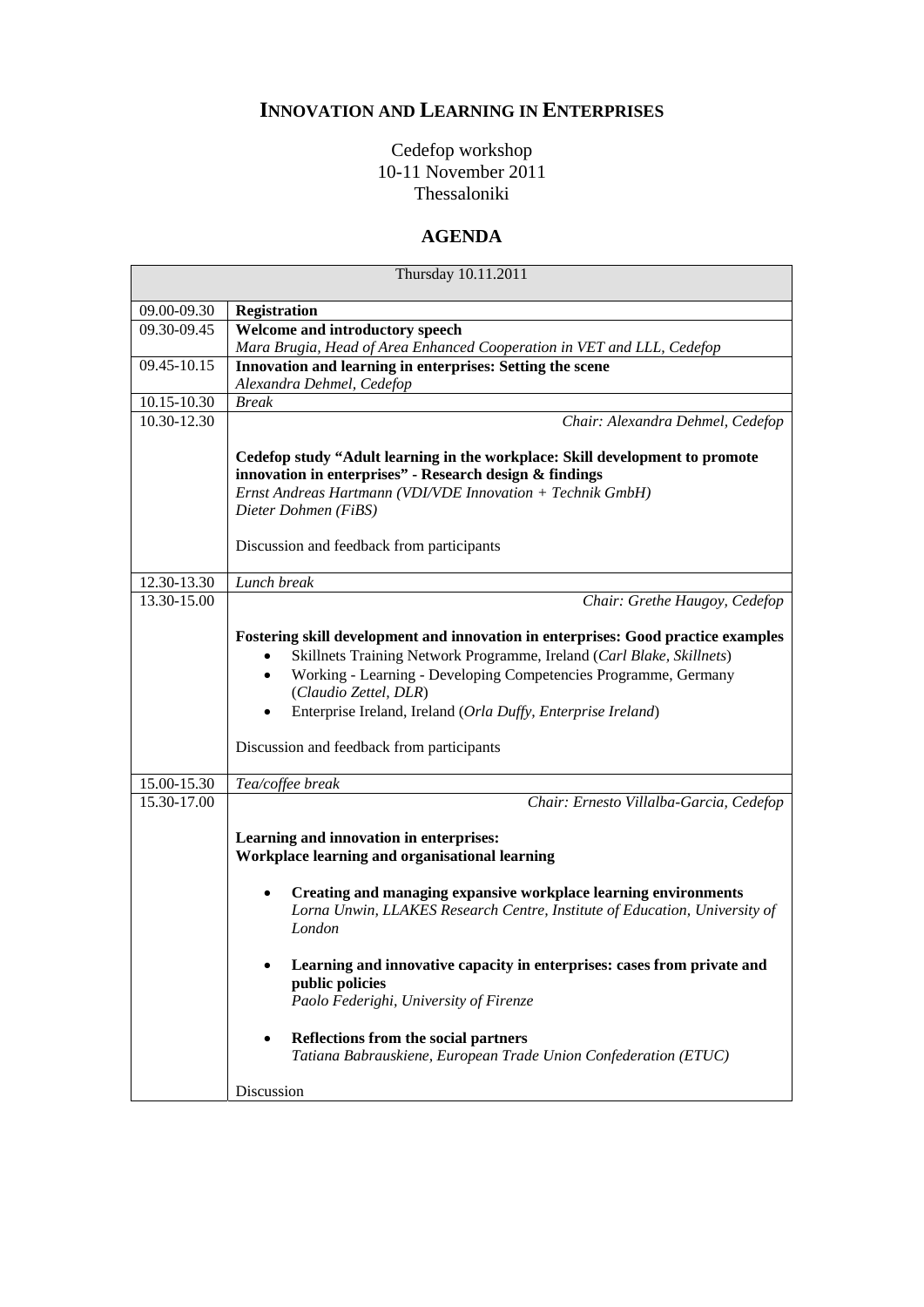## **INNOVATION AND LEARNING IN ENTERPRISES**

## Cedefop workshop 10-11 November 2011 Thessaloniki

## **AGENDA**

| Thursday 10.11.2011 |                                                                                                                                                                                                                                                                                                                                                                     |
|---------------------|---------------------------------------------------------------------------------------------------------------------------------------------------------------------------------------------------------------------------------------------------------------------------------------------------------------------------------------------------------------------|
| 09.00-09.30         | <b>Registration</b>                                                                                                                                                                                                                                                                                                                                                 |
| 09.30-09.45         | Welcome and introductory speech                                                                                                                                                                                                                                                                                                                                     |
|                     | Mara Brugia, Head of Area Enhanced Cooperation in VET and LLL, Cedefop                                                                                                                                                                                                                                                                                              |
| 09.45-10.15         | Innovation and learning in enterprises: Setting the scene                                                                                                                                                                                                                                                                                                           |
|                     | Alexandra Dehmel, Cedefop                                                                                                                                                                                                                                                                                                                                           |
| 10.15-10.30         | <b>Break</b>                                                                                                                                                                                                                                                                                                                                                        |
| 10.30-12.30         | Chair: Alexandra Dehmel, Cedefop                                                                                                                                                                                                                                                                                                                                    |
|                     | Cedefop study "Adult learning in the workplace: Skill development to promote<br>innovation in enterprises" - Research design & findings<br>Ernst Andreas Hartmann (VDI/VDE Innovation + Technik GmbH)                                                                                                                                                               |
|                     | Dieter Dohmen (FiBS)<br>Discussion and feedback from participants                                                                                                                                                                                                                                                                                                   |
| 12.30-13.30         | Lunch break                                                                                                                                                                                                                                                                                                                                                         |
| 13.30-15.00         | Chair: Grethe Haugoy, Cedefop                                                                                                                                                                                                                                                                                                                                       |
|                     | Fostering skill development and innovation in enterprises: Good practice examples<br>Skillnets Training Network Programme, Ireland (Carl Blake, Skillnets)<br>Working - Learning - Developing Competencies Programme, Germany<br>(Claudio Zettel, DLR)<br>Enterprise Ireland, Ireland (Orla Duffy, Enterprise Ireland)<br>Discussion and feedback from participants |
| 15.00-15.30         | Tea/coffee break                                                                                                                                                                                                                                                                                                                                                    |
| 15.30-17.00         | Chair: Ernesto Villalba-Garcia, Cedefop<br>Learning and innovation in enterprises:<br>Workplace learning and organisational learning                                                                                                                                                                                                                                |
|                     | Creating and managing expansive workplace learning environments<br>Lorna Unwin, LLAKES Research Centre, Institute of Education, University of<br>London                                                                                                                                                                                                             |
|                     | Learning and innovative capacity in enterprises: cases from private and<br>public policies<br>Paolo Federighi, University of Firenze                                                                                                                                                                                                                                |
|                     | Reflections from the social partners<br>Tatiana Babrauskiene, European Trade Union Confederation (ETUC)                                                                                                                                                                                                                                                             |
|                     | Discussion                                                                                                                                                                                                                                                                                                                                                          |